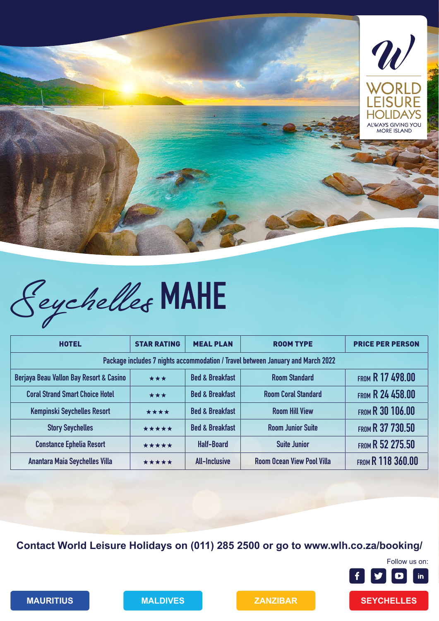



| <b>HOTEL</b>                                                                    | <b>STAR RATING</b> | <b>MEAL PLAN</b>           | <b>ROOM TYPE</b>                  | <b>PRICE PER PERSON</b>  |  |  |
|---------------------------------------------------------------------------------|--------------------|----------------------------|-----------------------------------|--------------------------|--|--|
| Package includes 7 nights accommodation / Travel between January and March 2022 |                    |                            |                                   |                          |  |  |
| Berjaya Beau Vallon Bay Resort & Casino                                         | ***                | <b>Bed &amp; Breakfast</b> | <b>Room Standard</b>              | <b>FROM R 17 498.00</b>  |  |  |
| <b>Coral Strand Smart Choice Hotel</b>                                          | ***                | <b>Bed &amp; Breakfast</b> | <b>Room Coral Standard</b>        | <b>FROM R 24 458.00</b>  |  |  |
| <b>Kempinski Seychelles Resort</b>                                              | ****               | <b>Bed &amp; Breakfast</b> | <b>Room Hill View</b>             | <b>FROM R 30 106.00</b>  |  |  |
| <b>Story Seychelles</b>                                                         | *****              | <b>Bed &amp; Breakfast</b> | <b>Room Junior Suite</b>          | FROM R 37 730.50         |  |  |
| <b>Constance Ephelia Resort</b>                                                 | *****              | <b>Half-Board</b>          | <b>Suite Junior</b>               | FROM R 52 275.50         |  |  |
| <b>Anantara Maia Seychelles Villa</b>                                           | *****              | <b>All-Inclusive</b>       | <b>Room Ocean View Pool Villa</b> | <b>FROM R 118 360.00</b> |  |  |

**Contact World Leisure Holidays on (011) 285 2500 or go to www.wlh.co.za/booking/**